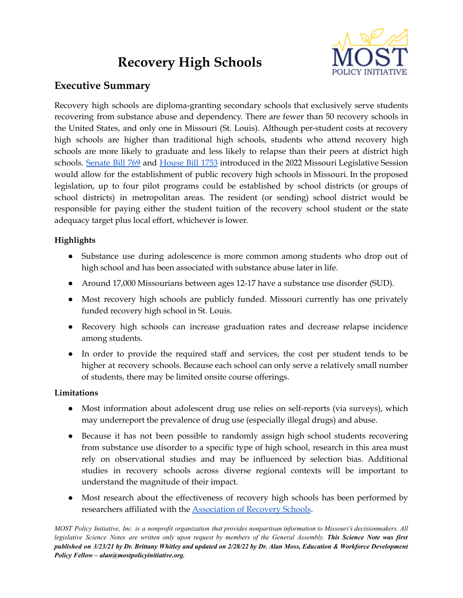# **Recovery High Schools**



# **Executive Summary**

Recovery high schools are diploma-granting secondary schools that exclusively serve students recovering from substance abuse and dependency. There are fewer than 50 recovery schools in the United States, and only one in Missouri (St. Louis). Although per-student costs at recovery high schools are higher than traditional high schools, students who attend recovery high schools are more likely to graduate and less likely to relapse than their peers at district high schools. [Senate](https://www.senate.mo.gov/22info/BTS_Web/Bill.aspx?SessionType=R&BillID=71259856) Bill 769 and [House](https://house.mo.gov/bill.aspx?bill=HB1753&year=2022&code=R) Bill 1753 introduced in the 2022 Missouri Legislative Session would allow for the establishment of public recovery high schools in Missouri. In the proposed legislation, up to four pilot programs could be established by school districts (or groups of school districts) in metropolitan areas. The resident (or sending) school district would be responsible for paying either the student tuition of the recovery school student or the state adequacy target plus local effort, whichever is lower.

## **Highlights**

- Substance use during adolescence is more common among students who drop out of high school and has been associated with substance abuse later in life.
- Around 17,000 Missourians between ages 12-17 have a substance use disorder (SUD).
- Most recovery high schools are publicly funded. Missouri currently has one privately funded recovery high school in St. Louis.
- Recovery high schools can increase graduation rates and decrease relapse incidence among students.
- In order to provide the required staff and services, the cost per student tends to be higher at recovery schools. Because each school can only serve a relatively small number of students, there may be limited onsite course offerings.

## **Limitations**

- Most information about adolescent drug use relies on self-reports (via surveys), which may underreport the prevalence of drug use (especially illegal drugs) and abuse.
- Because it has not been possible to randomly assign high school students recovering from substance use disorder to a specific type of high school, research in this area must rely on observational studies and may be influenced by selection bias. Additional studies in recovery schools across diverse regional contexts will be important to understand the magnitude of their impact.
- Most research about the effectiveness of recovery high schools has been performed by researchers affiliated with the [Association](https://recoveryschools.org/) of Recovery Schools.

MOST Policy Initiative, Inc. is a nonprofit organization that provides nonpartisan information to Missouri's decisionmakers. All legislative Science Notes are written only upon request by members of the General Assembly. This Science Note was first published on 3/23/21 by Dr. Brittany Whitley and updated on 2/28/22 by Dr. Alan Moss, Education & Workforce Development *Policy Fellow – alan@mostpolicyinitiative.org.*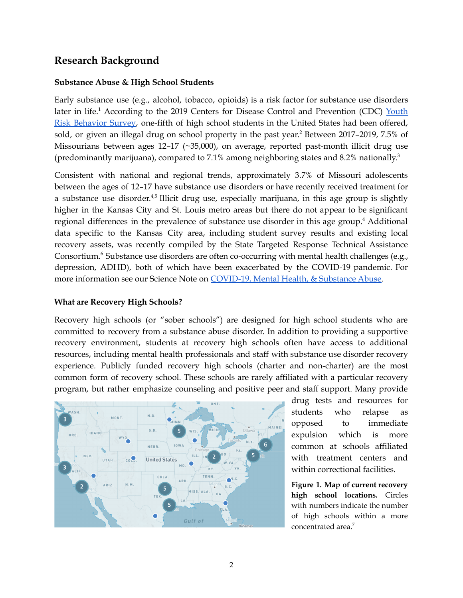## **Research Background**

#### **Substance Abuse & High School Students**

Early substance use (e.g., alcohol, tobacco, opioids) is a risk factor for substance use disorders later in life.<sup>1</sup> According to the 2019 Centers for Disease Control and Prevention (CDC) [Youth](https://nccd.cdc.gov/youthonline/App/Results.aspx?TT=K&OUT=0&SID=HS&QID=H57&LID=LL&YID=YY&LID2=&YID2=&COL=T&ROW1=N&ROW2=N&HT=QQ&LCT=LL&FS=S1&FR=R1&FG=G1&FA=A1&FI=I1&FP=P1&FSL=S1&FRL=R1&FGL=G1&FAL=A1&FIL=I1&FPL=P1&PV=&TST=False&C1=&C2=&QP=G&DP=1&VA=CI&CS=Y&SYID=1993&EYID=2019&SC=DEFAULT&SO=ASC) Risk [Behavior](https://nccd.cdc.gov/youthonline/App/Results.aspx?TT=K&OUT=0&SID=HS&QID=H57&LID=LL&YID=YY&LID2=&YID2=&COL=T&ROW1=N&ROW2=N&HT=QQ&LCT=LL&FS=S1&FR=R1&FG=G1&FA=A1&FI=I1&FP=P1&FSL=S1&FRL=R1&FGL=G1&FAL=A1&FIL=I1&FPL=P1&PV=&TST=False&C1=&C2=&QP=G&DP=1&VA=CI&CS=Y&SYID=1993&EYID=2019&SC=DEFAULT&SO=ASC) Survey, one-fifth of high school students in the United States had been offered, sold, or given an illegal drug on school property in the past year. <sup>2</sup> Between 2017–2019, 7.5% of Missourians between ages 12–17 (~35,000), on average, reported past-month illicit drug use (predominantly marijuana), compared to 7.1% among neighboring states and 8.2% nationally. 3

Consistent with national and regional trends, approximately 3.7% of Missouri adolescents between the ages of 12–17 have substance use disorders or have recently received treatment for a substance use disorder.<sup>4,5</sup> Illicit drug use, especially marijuana, in this age group is slightly higher in the Kansas City and St. Louis metro areas but there do not appear to be significant regional differences in the prevalence of substance use disorder in this age group. <sup>4</sup> Additional data specific to the Kansas City area, including student survey results and existing local recovery assets, was recently compiled by the State Targeted Response Technical Assistance Consortium.<sup>6</sup> Substance use disorders are often co-occurring with mental health challenges (e.g., depression, ADHD), both of which have been exacerbated by the COVID-19 pandemic. For more information see our Science Note on [COVID-19,](https://mostpolicyinitiative.org/science-note/covid-19-mental-health-substance-abuse/) Mental Health, & Substance Abuse.

#### **What are Recovery High Schools?**

Recovery high schools (or "sober schools") are designed for high school students who are committed to recovery from a substance abuse disorder. In addition to providing a supportive recovery environment, students at recovery high schools often have access to additional resources, including mental health professionals and staff with substance use disorder recovery experience. Publicly funded recovery high schools (charter and non-charter) are the most common form of recovery school. These schools are rarely affiliated with a particular recovery program, but rather emphasize counseling and positive peer and staff support. Many provide



drug tests and resources for students who relapse as opposed to immediate expulsion which is more common at schools affiliated with treatment centers and within correctional facilities.

**Figure 1. Map of current recovery high school locations.** Circles with numbers indicate the number of high schools within a more concentrated area. 7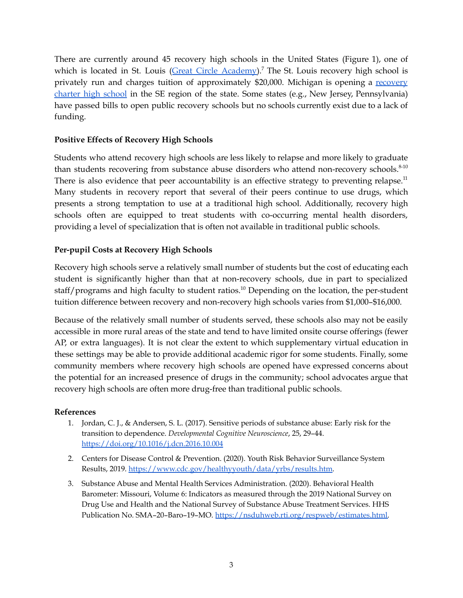There are currently around 45 recovery high schools in the United States (Figure 1), one of which is located in St. Louis (Great Circle [Academy\)](https://www.greatcircle.org/index.php/newsroom/news-releases/great-circle-opens-missouri-s-first-educational-program-for-teens-in-recovery).<sup>7</sup> The St. Louis recovery high school is privately run and charges tuition of approximately \$20,000. Michigan is opening a [recovery](https://www.wellspringacademy.com/how-we-help) [charter](https://www.wellspringacademy.com/how-we-help) high school in the SE region of the state. Some states (e.g., New Jersey, Pennsylvania) have passed bills to open public recovery schools but no schools currently exist due to a lack of funding.

#### **Positive Effects of Recovery High Schools**

Students who attend recovery high schools are less likely to relapse and more likely to graduate than students recovering from substance abuse disorders who attend non-recovery schools.<sup>8-10</sup> There is also evidence that peer accountability is an effective strategy to preventing relapse.<sup>11</sup> Many students in recovery report that several of their peers continue to use drugs, which presents a strong temptation to use at a traditional high school. Additionally, recovery high schools often are equipped to treat students with co-occurring mental health disorders, providing a level of specialization that is often not available in traditional public schools.

#### **Per-pupil Costs at Recovery High Schools**

Recovery high schools serve a relatively small number of students but the cost of educating each student is significantly higher than that at non-recovery schools, due in part to specialized staff/programs and high faculty to student ratios.<sup>10</sup> Depending on the location, the per-student tuition difference between recovery and non-recovery high schools varies from \$1,000–\$16,000.

Because of the relatively small number of students served, these schools also may not be easily accessible in more rural areas of the state and tend to have limited onsite course offerings (fewer AP, or extra languages). It is not clear the extent to which supplementary virtual education in these settings may be able to provide additional academic rigor for some students. Finally, some community members where recovery high schools are opened have expressed concerns about the potential for an increased presence of drugs in the community; school advocates argue that recovery high schools are often more drug-free than traditional public schools.

#### **References**

- 1. Jordan, C. J., & Andersen, S. L. (2017). Sensitive periods of substance abuse: Early risk for the transition to dependence. *Developmental Cognitive Neuroscience*, 25, 29–44. <https://doi.org/10.1016/j.dcn.2016.10.004>
- 2. Centers for Disease Control & Prevention. (2020). Youth Risk Behavior Surveillance System Results, 2019. [https://www.cdc.gov/healthyyouth/data/yrbs/results.htm.](https://www.cdc.gov/healthyyouth/data/yrbs/results.htm)
- 3. Substance Abuse and Mental Health Services Administration. (2020). Behavioral Health Barometer: Missouri, Volume 6: Indicators as measured through the 2019 National Survey on Drug Use and Health and the National Survey of Substance Abuse Treatment Services. HHS Publication No. SMA-20-Baro-19-MO. [https://nsduhweb.rti.org/respweb/estimates.html.](https://nsduhweb.rti.org/respweb/estimates.html)